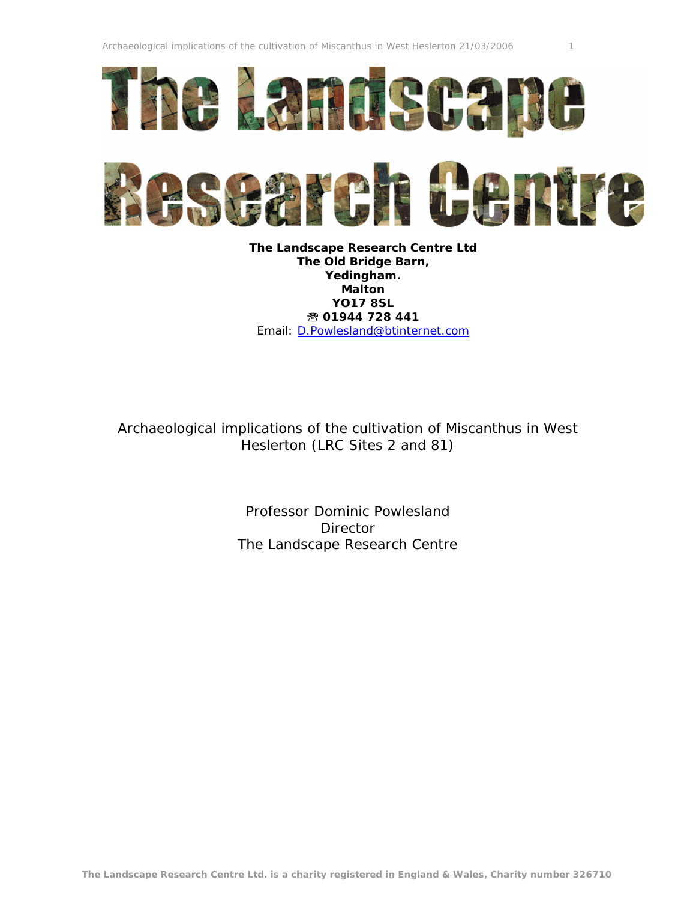



**The Landscape Research Centre Ltd The Old Bridge Barn, Yedingham. Malton YO17 8SL <sup>2</sup> 01944 728 441** Email: [D.Powlesland@btinternet.com](mailto:D.Powlesland@btinternet.com)

Archaeological implications of the cultivation of Miscanthus in West Heslerton (LRC Sites 2 and 81)

> Professor Dominic Powlesland **Director** The Landscape Research Centre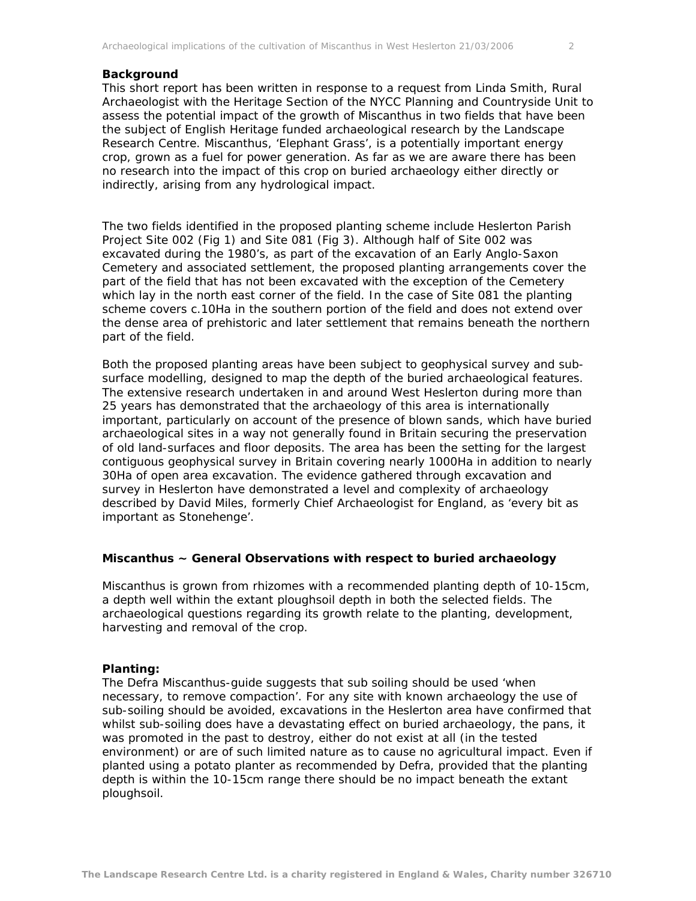## **Background**

This short report has been written in response to a request from Linda Smith, Rural Archaeologist with the Heritage Section of the NYCC Planning and Countryside Unit to assess the potential impact of the growth of Miscanthus in two fields that have been the subject of English Heritage funded archaeological research by the Landscape Research Centre. Miscanthus, 'Elephant Grass', is a potentially important energy crop, grown as a fuel for power generation. As far as we are aware there has been no research into the impact of this crop on buried archaeology either directly or indirectly, arising from any hydrological impact.

The two fields identified in the proposed planting scheme include Heslerton Parish Project Site 002 (Fig 1) and Site 081 (Fig 3). Although half of Site 002 was excavated during the 1980's, as part of the excavation of an Early Anglo-Saxon Cemetery and associated settlement, the proposed planting arrangements cover the part of the field that has not been excavated with the exception of the Cemetery which lay in the north east corner of the field. In the case of Site 081 the planting scheme covers c.10Ha in the southern portion of the field and does not extend over the dense area of prehistoric and later settlement that remains beneath the northern part of the field.

Both the proposed planting areas have been subject to geophysical survey and subsurface modelling, designed to map the depth of the buried archaeological features. The extensive research undertaken in and around West Heslerton during more than 25 years has demonstrated that the archaeology of this area is internationally important, particularly on account of the presence of blown sands, which have buried archaeological sites in a way not generally found in Britain securing the preservation of old land-surfaces and floor deposits. The area has been the setting for the largest contiguous geophysical survey in Britain covering nearly 1000Ha in addition to nearly 30Ha of open area excavation. The evidence gathered through excavation and survey in Heslerton have demonstrated a level and complexity of archaeology described by David Miles, formerly Chief Archaeologist for England, as 'every bit as important as Stonehenge'.

## **Miscanthus ~ General Observations with respect to buried archaeology**

Miscanthus is grown from rhizomes with a recommended planting depth of 10-15cm, a depth well within the extant ploughsoil depth in both the selected fields. The archaeological questions regarding its growth relate to the planting, development, harvesting and removal of the crop.

## **Planting:**

The Defra Miscanthus-guide suggests that sub soiling should be used 'when necessary, to remove compaction'. For any site with known archaeology the use of sub-soiling should be avoided, excavations in the Heslerton area have confirmed that whilst sub-soiling does have a devastating effect on buried archaeology, the pans, it was promoted in the past to destroy, either do not exist at all (in the tested environment) or are of such limited nature as to cause no agricultural impact. Even if planted using a potato planter as recommended by Defra, provided that the planting depth is within the 10-15cm range there should be no impact beneath the extant ploughsoil.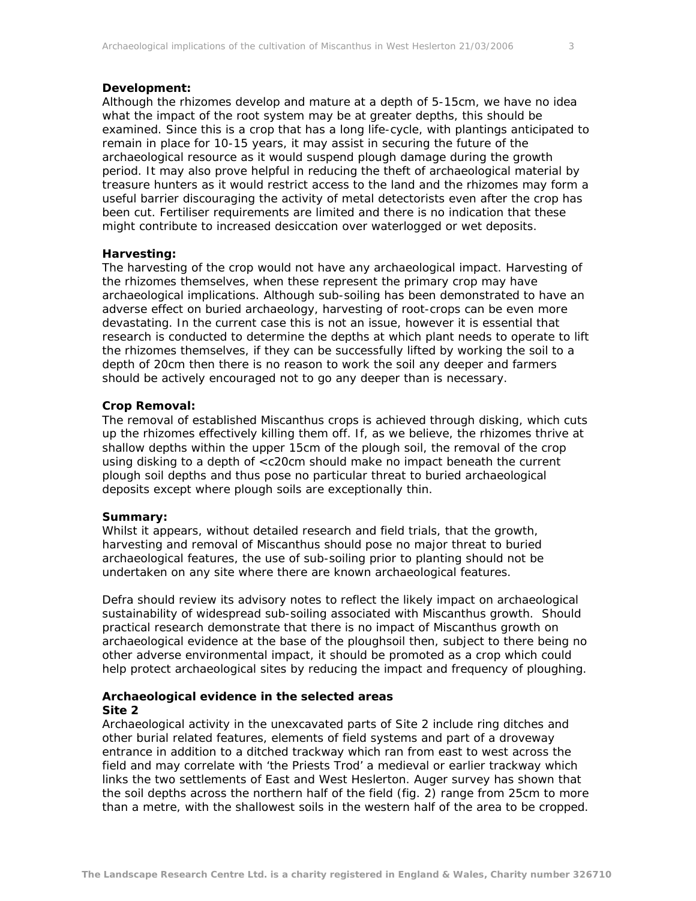Although the rhizomes develop and mature at a depth of 5-15cm, we have no idea what the impact of the root system may be at greater depths, this should be examined. Since this is a crop that has a long life-cycle, with plantings anticipated to remain in place for 10-15 years, it may assist in securing the future of the archaeological resource as it would suspend plough damage during the growth period. It may also prove helpful in reducing the theft of archaeological material by treasure hunters as it would restrict access to the land and the rhizomes may form a useful barrier discouraging the activity of metal detectorists even after the crop has been cut. Fertiliser requirements are limited and there is no indication that these might contribute to increased desiccation over waterlogged or wet deposits.

# **Harvesting:**

The harvesting of the crop would not have any archaeological impact. Harvesting of the rhizomes themselves, when these represent the primary crop may have archaeological implications. Although sub-soiling has been demonstrated to have an adverse effect on buried archaeology, harvesting of root-crops can be even more devastating. In the current case this is not an issue, however it is essential that research is conducted to determine the depths at which plant needs to operate to lift the rhizomes themselves, if they can be successfully lifted by working the soil to a depth of 20cm then there is no reason to work the soil any deeper and farmers should be actively encouraged not to go any deeper than is necessary.

# **Crop Removal:**

The removal of established Miscanthus crops is achieved through disking, which cuts up the rhizomes effectively killing them off. If, as we believe, the rhizomes thrive at shallow depths within the upper 15cm of the plough soil, the removal of the crop using disking to a depth of <c20cm should make no impact beneath the current plough soil depths and thus pose no particular threat to buried archaeological deposits except where plough soils are exceptionally thin.

## **Summary:**

Whilst it appears, without detailed research and field trials, that the growth, harvesting and removal of Miscanthus should pose no major threat to buried archaeological features, the use of sub-soiling prior to planting should not be undertaken on any site where there are known archaeological features.

Defra should review its advisory notes to reflect the likely impact on archaeological sustainability of widespread sub-soiling associated with Miscanthus growth. Should practical research demonstrate that there is no impact of Miscanthus growth on archaeological evidence at the base of the ploughsoil then, subject to there being no other adverse environmental impact, it should be promoted as a crop which could help protect archaeological sites by reducing the impact and frequency of ploughing.

# **Archaeological evidence in the selected areas Site 2**

Archaeological activity in the unexcavated parts of Site 2 include ring ditches and other burial related features, elements of field systems and part of a droveway entrance in addition to a ditched trackway which ran from east to west across the field and may correlate with 'the Priests Trod' a medieval or earlier trackway which links the two settlements of East and West Heslerton. Auger survey has shown that the soil depths across the northern half of the field (fig. 2) range from 25cm to more than a metre, with the shallowest soils in the western half of the area to be cropped.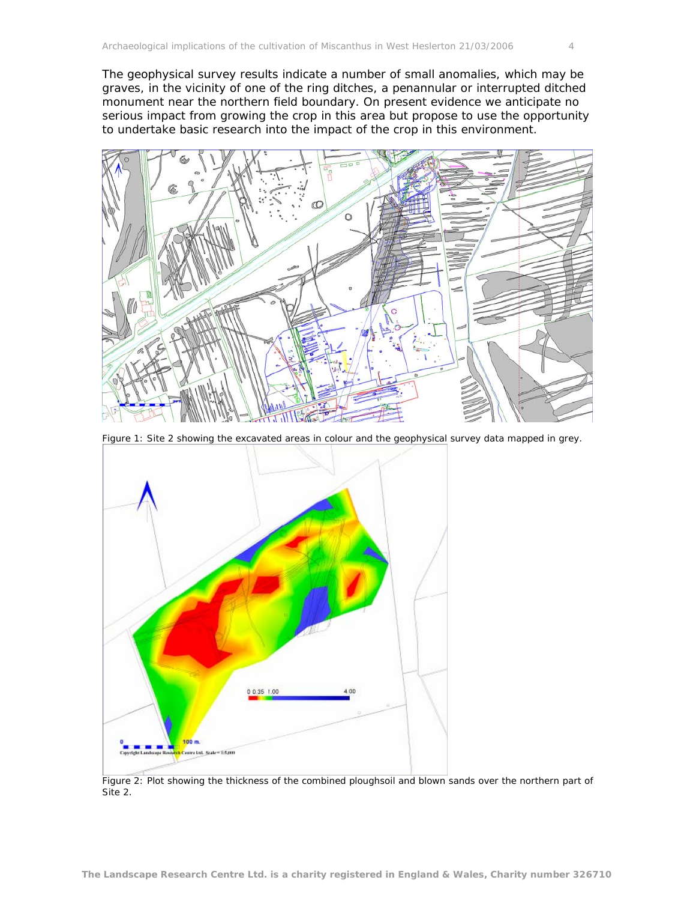The geophysical survey results indicate a number of small anomalies, which may be graves, in the vicinity of one of the ring ditches, a penannular or interrupted ditched monument near the northern field boundary. On present evidence we anticipate no serious impact from growing the crop in this area but propose to use the opportunity to undertake basic research into the impact of the crop in this environment.



Figure 1: Site 2 showing the excavated areas in colour and the geophysical survey data mapped in grey.



Figure 2: Plot showing the thickness of the combined ploughsoil and blown sands over the northern part of Site 2.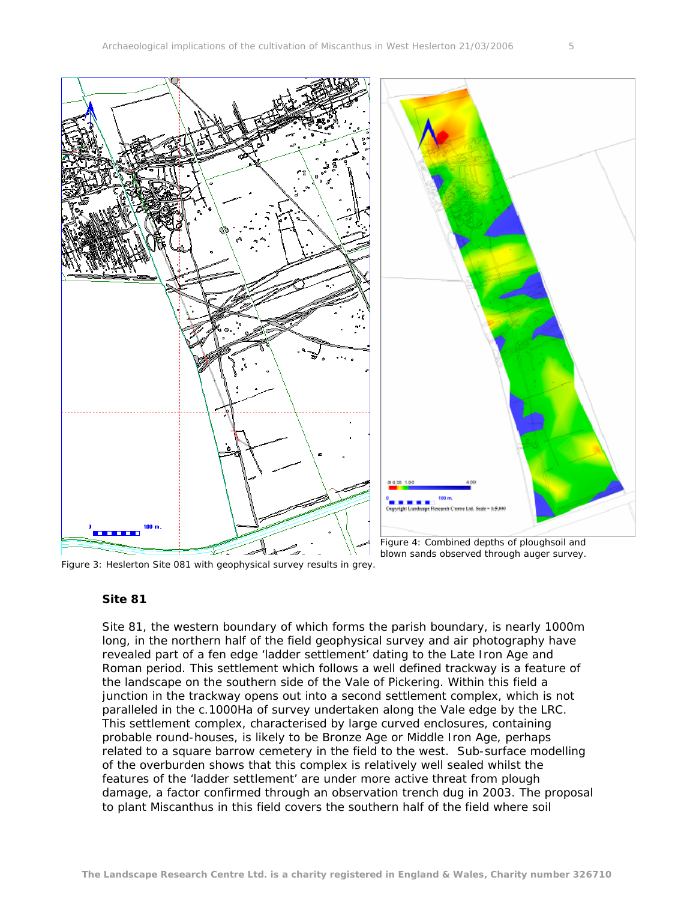

Figure 3: Heslerton Site 081 with geophysical survey results in grey.

# blown sands observed through auger survey.

# **Site 81**

Site 81, the western boundary of which forms the parish boundary, is nearly 1000m long, in the northern half of the field geophysical survey and air photography have revealed part of a fen edge 'ladder settlement' dating to the Late Iron Age and Roman period. This settlement which follows a well defined trackway is a feature of the landscape on the southern side of the Vale of Pickering. Within this field a junction in the trackway opens out into a second settlement complex, which is not paralleled in the c.1000Ha of survey undertaken along the Vale edge by the LRC. This settlement complex, characterised by large curved enclosures, containing probable round-houses, is likely to be Bronze Age or Middle Iron Age, perhaps related to a square barrow cemetery in the field to the west. Sub-surface modelling of the overburden shows that this complex is relatively well sealed whilst the features of the 'ladder settlement' are under more active threat from plough damage, a factor confirmed through an observation trench dug in 2003. The proposal to plant Miscanthus in this field covers the southern half of the field where soil